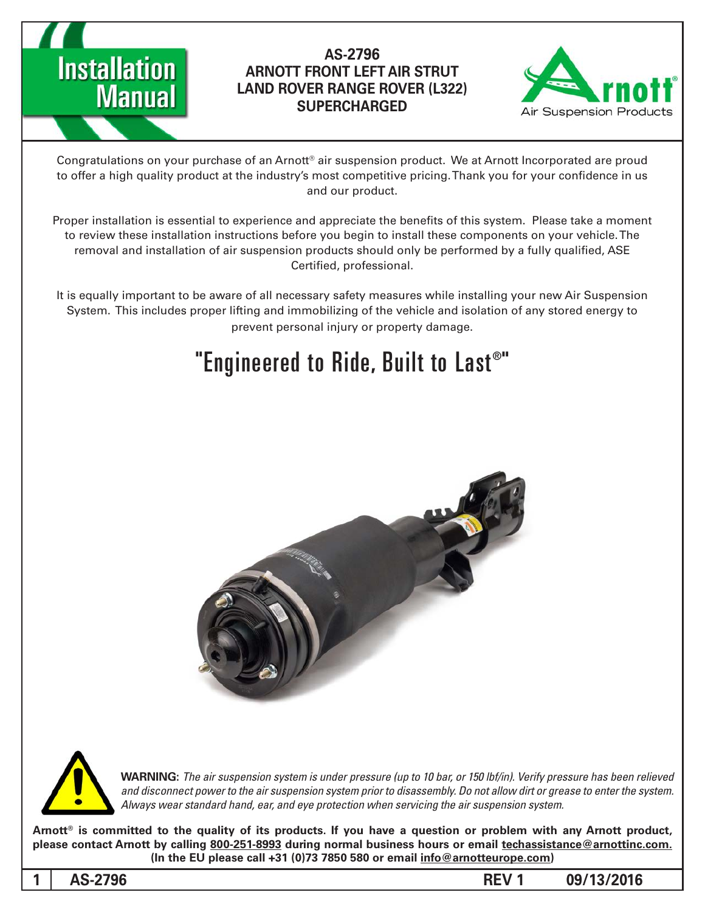

### AS-2796 **ARNOTT FRONT LEFT AIR STRUT LAND ROVER RANGE ROVER (L322) SUPERCHARGED**



Congratulations on your purchase of an Arnott® air suspension product. We at Arnott Incorporated are proud to offer a high quality product at the industry's most competitive pricing. Thank you for your confidence in us and our product.

Proper installation is essential to experience and appreciate the benefits of this system. Please take a moment to review these installation instructions before you begin to install these components on your vehicle. The removal and installation of air suspension products should only be performed by a fully qualified, ASE Certified, professional.

It is equally important to be aware of all necessary safety measures while installing your new Air Suspension System. This includes proper lifting and immobilizing of the vehicle and isolation of any stored energy to prevent personal injury or property damage.

## "Engineered to Ride, Built to Last®"





*WARNING: The air suspension system is under pressure (up to 10 bar, or 150 lbf/in). Verify pressure has been relieved* and disconnect power to the air suspension system prior to disassembly. Do not allow dirt or grease to enter the system. Always wear standard hand, ear, and eye protection when servicing the air suspension system.

Arnott<sup>®</sup> is committed to the quality of its products. If you have a question or problem with any Arnott product, please contact Arnott by calling 800-251-8993 during normal business hours or email techassistance@arnottinc.com.  $($ In the EU please call  $+31$  (0)73 7850 580 or email info @arnotteurope.com)

**09/13/2016 1 REV -2796AS 1**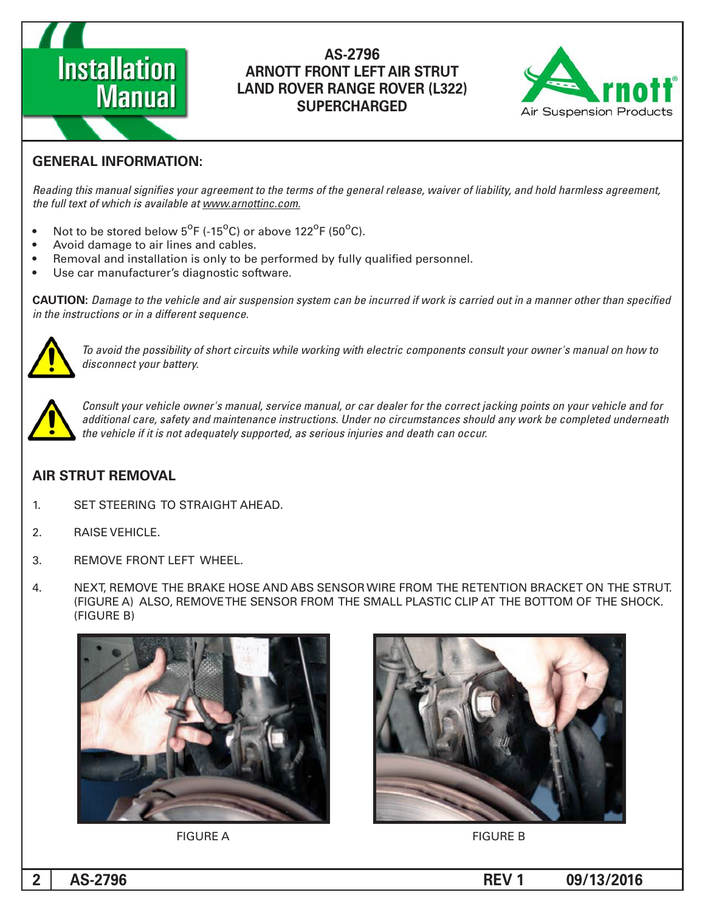# **Installation Manual**

#### AS-2796 **ARNOTT FRONT LEFT AIR STRUT LAND ROVER RANGE ROVER (L322) SUPERCHARGED**



### **GENERAL INFORMATION:**

Reading this manual signifies your agreement to the terms of the general release, waiver of liability, and hold harmless agreement, the full text of which is available at www.arnottinc.com.

- Not to be stored below  $5^{\circ}$ F (-15 $^{\circ}$ C) or above 122 $^{\circ}$ F (50 $^{\circ}$ C).
- Avoid damage to air lines and cables.
- Removal and installation is only to be performed by fully qualified personnel.
- Use car manufacturer's diagnostic software.

**CAUTION:** Damage to the vehicle and air suspension system can be incurred if work is carried out in a manner other than specified *in the instructions or in a different sequence.* 



 *to how on manual s'owner your consult components electric with working while circuits short of possibility the avoid To* disconnect your battery.



*Consult your vehicle owner's manual, service manual, or car dealer for the correct jacking points on your vehicle and for* additional care, safety and maintenance instructions. Under no circumstances should any work be completed underneath the vehicle if it is not adequately supported, as serious injuries and death can occur.

#### **AIR STRUT REMOVAL**

- 1. SET STEERING TO STRAIGHT AHEAD.
- 2. RAISE VEHICLE.
- 3. REMOVE FRONT LEFT WHEEL.
- 4. NEXT, REMOVE THE BRAKE HOSE AND ABS SENSOR WIRE FROM THE RETENTION BRACKET ON THE STRUT. (FIGURE A) ALSO, REMOVE THE SENSOR FROM THE SMALL PLASTIC CLIP AT THE BOTTOM OF THE SHOCK. (FIGURE B)





FIGURE A FIGURE B

**09/13/2016 1 REV -2796AS 2**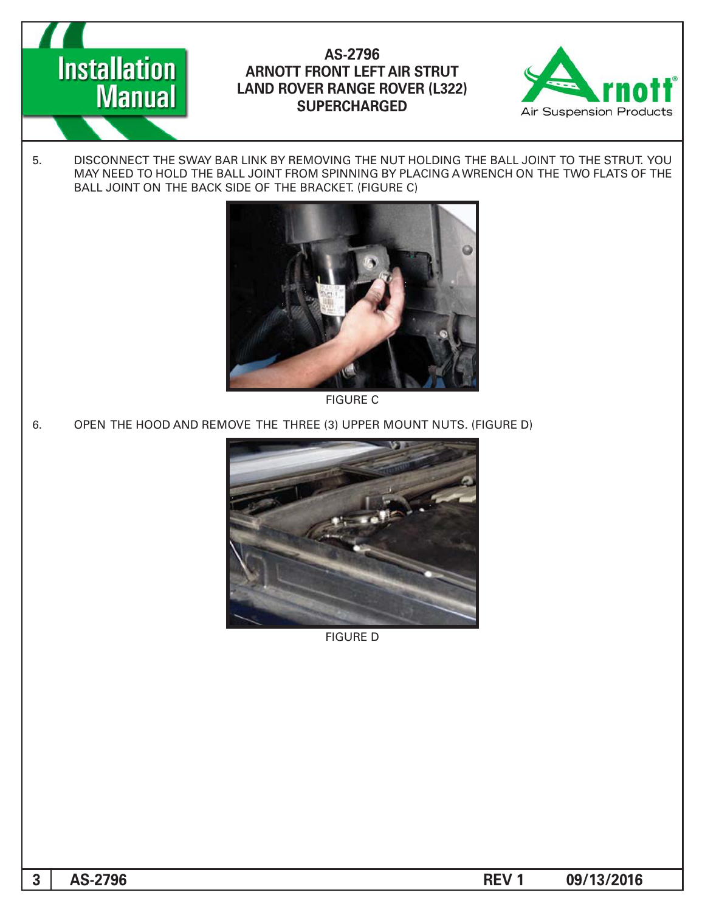AS-2796 **ARNOTT FRONT LEFT AIR STRUT LAND ROVER RANGE ROVER (L322) SUPERCHARGED**



5. DISCONNECT THE SWAY BAR LINK BY REMOVING THE NUT HOLDING THE BALL JOINT TO THE STRUT. YOU MAY NEED TO HOLD THE BALL JOINT FROM SPINNING BY PLACING A WRENCH ON THE TWO FLATS OF THE BALL JOINT ON THE BACK SIDE OF THE BRACKET. (FIGURE C)



**FIGURE C** 

6. OPEN THE HOOD AND REMOVE THE THREE (3) UPPER MOUNT NUTS. (FIGURE D)



**FIGURE D** 

**Installation** 

**Manual** 

**09/13/2016 1 REV -2796AS 3**